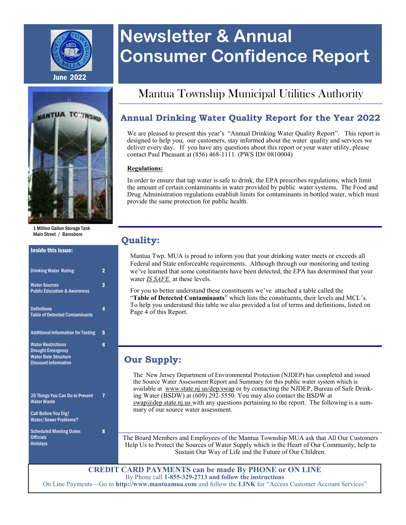

# **Newsletter & Annual Consumer Confidence Report**

## Mantua Township Municipal Utilities Authority

### **Annual Drinking Water Quality Report for the Year 2022**

We are pleased to present this year's "Annual Drinking Water Quality Report". This report is designed to help you, our customers, stay informed about the water quality and services we deliver every day. If you have any questions about this report or your water utility, please contact Paul Pheasant at  $(856)$  468-1111. (PWS ID# 0810004)

#### **Regulations:**

In order to ensure that tap water is safe to drink, the EPA prescribes regulations, which limit the amount of certain contaminants in water provided by public water systems. The Food and Drug Administration regulations establish limits for contaminants in bottled water, which must provide the same protection for public health.

### **Quality:**

Mantua Twp. MUA is proud to inform you that your drinking water meets or exceeds all Federal and State enforceable requirements. Although through our monitoring and testing we've learned that some constituents have been detected, the EPA has determined that your water *IS SAFE* at these levels.

For you to better understand these constituents we've attached a table called the "**Table of Detected Contaminants**" which lists the constituents, their levels and MCL's. To help you understand this table we also provided a list of terms and definitions, listed on Page 4 of this Report.

### **Our Supply:**

The New Jersey Department of Environmental Protection (NJDEP) has completed and issued the Source Water Assessment Report and Summary for this public water system which is available at www.state.nj.us/dep/swap or by contacting the NJDEP, Bureau of Safe Drinking Water (BSDW) at (609) 292-5550. You may also contact the BSDW at swap@dep.state.nj.us with any questions pertaining to the report. The following is a summary of our source water assessment.

The Board Members and Employees of the Mantua Township MUA ask that All Our Customers Help Us to Protect the Sources of Water Supply which is the Heart of Our Community, help to Sustain Our Way of Life and the Future of Our Children.

**CREDIT CARD PAYMENTS can be made By PHONE or ON LINE** By Phone call **1-855-329-2713 and follow the instructions**  On Line Payments—Go to **http://www.mantuamua.com** and follow the **LINK** for "Access Customer Account Services"



Main Street / Barnsboro

#### Inside this issue:

| <b>Drinking Water Rating</b>                                                                                        | 2 |
|---------------------------------------------------------------------------------------------------------------------|---|
| <b>Water Sources</b><br><b>Public Education &amp; Awareness</b>                                                     | 3 |
| <b>Definitions</b><br><b>Table of Detected Contaminants</b>                                                         | 4 |
| <b>Additional Information for Testing</b>                                                                           | 5 |
| <b>Water Restrictions</b><br><b>Drought Emergency</b><br><b>Water Rate Structure</b><br><b>Discount Information</b> | 6 |
| 25 Things You Can Do to Prevent<br><b>Water Waste</b>                                                               |   |
| <b>Call Before You Dig!</b><br><b>Water/Sewer Problems?</b>                                                         |   |
| <b>Scheduled Meeting Dates</b><br><b>Officials</b><br><b>Holidavs</b>                                               | 8 |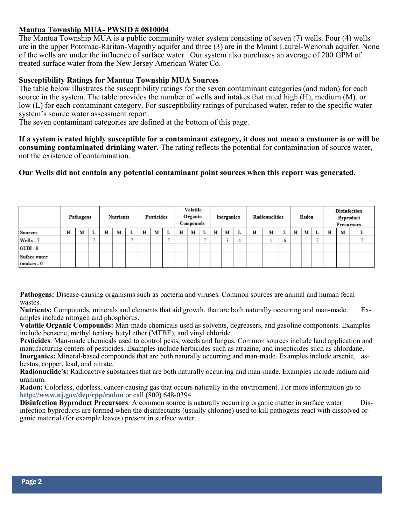### **Mantua Township MUA- PWSID # 0810004**

The Mantua Township MUA is a public community water system consisting of seven (7) wells. Four (4) wells are in the upper Potomac-Raritan-Magothy aquifer and three (3) are in the Mount Laurel-Wenonah aquifer. None of the wells are under the influence of surface water. Our system also purchases an average of 200 GPM of treated surface water from the New Jersey American Water Co.

#### **Susceptibility Ratings for Mantua Township MUA Sources**

The table below illustrates the susceptibility ratings for the seven contaminant categories (and radon) for each source in the system. The table provides the number of wells and intakes that rated high (H), medium (M), or low (L) for each contaminant category. For susceptibility ratings of purchased water, refer to the specific water system's source water assessment report.

The seven contaminant categories are defined at the bottom of this page.

**If a system is rated highly susceptible for a contaminant category, it does not mean a customer is or will be consuming contaminated drinking water.** The rating reflects the potential for contamination of source water, not the existence of contamination.

#### **Our Wells did not contain any potential contaminant point sources when this report was generated.**

|                             |   | Pathogens |   | <b>Nutrients</b> |   | <b>Pesticides</b> |   |   | <b>Volatile</b><br>Organic<br>Compounds |   |   | Inorganics |   |   | <b>Radionuclides</b> |    |   | Radon |   |   | <b>Byproduct</b><br><b>Precursors</b> | <b>Disinfection</b> |
|-----------------------------|---|-----------|---|------------------|---|-------------------|---|---|-----------------------------------------|---|---|------------|---|---|----------------------|----|---|-------|---|---|---------------------------------------|---------------------|
| <b>Sources</b>              | н | м         | н | м                | н | м                 | L | н | м                                       | L | н | м          | ≖ | н | м                    | u  | н | м     | ≖ | н | м                                     | u                   |
| Wells - 7                   |   |           |   |                  |   |                   |   |   |                                         |   |   |            |   |   |                      | Ō. |   |       |   |   |                                       |                     |
| $GUDI - 0$                  |   |           |   |                  |   |                   |   |   |                                         |   |   |            |   |   |                      |    |   |       |   |   |                                       |                     |
| Suface water<br>intakes - 0 |   |           |   |                  |   |                   |   |   |                                         |   |   |            |   |   |                      |    |   |       |   |   |                                       |                     |

**Pathogens:** Disease-causing organisms such as bacteria and viruses. Common sources are animal and human fecal wastes.

**Nutrients:** Compounds, minerals and elements that aid growth, that are both naturally occurring and man-made. Examples include nitrogen and phosphorus.

**Volatile Organic Compounds:** Man-made chemicals used as solvents, degreasers, and gasoline components. Examples include benzene, methyl tertiary butyl ether (MTBE), and vinyl chloride.

**Pesticides**: Man-made chemicals used to control pests, weeds and fungus. Common sources include land application and manufacturing centers of pesticides. Examples include herbicides such as atrazine, and insecticides such as chlordane. **Inorganics:** Mineral-based compounds that are both naturally occurring and man-made. Examples include arsenic, asbestos, copper, lead, and nitrate.

**Radionuclide's:** Radioactive substances that are both naturally occurring and man-made. Examples include radium and uranium.

**Radon:** Colorless, odorless, cancer-causing gas that occurs naturally in the environment. For more information go to **http://www.nj.gov/dep/rpp/radon** or call (800) 648-0394.

**Disinfection Byproduct Precursors**: A common source is naturally occurring organic matter in surface water. Disinfection byproducts are formed when the disinfectants (usually chlorine) used to kill pathogens react with dissolved organic material (for example leaves) present in surface water.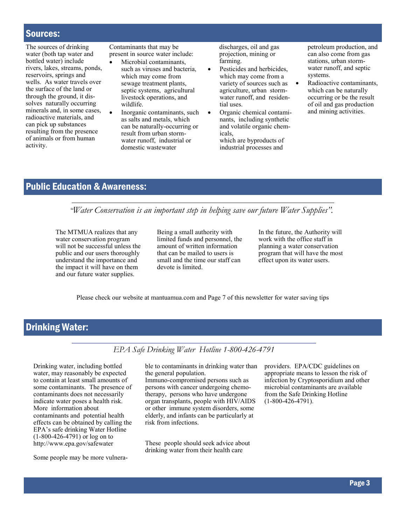### Sources:

The sources of drinking water (both tap water and bottled water) include rivers, lakes, streams, ponds, reservoirs, springs and wells. As water travels over the surface of the land or through the ground, it dissolves naturally occurring minerals and, in some cases, radioactive materials, and can pick up substances resulting from the presence of animals or from human activity.

Contaminants that may be present in source water include:

- Microbial contaminants, such as viruses and bacteria, which may come from sewage treatment plants, septic systems, agricultural livestock operations, and wildlife.
- Inorganic contaminants, such as salts and metals, which can be naturally-occurring or result from urban stormwater runoff, industrial or domestic wastewater

discharges, oil and gas projection, mining or farming.

- Pesticides and herbicides, which may come from a variety of sources such as agriculture, urban stormwater runoff, and residential uses.
- Organic chemical contaminants, including synthetic and volatile organic chemicals, which are byproducts of industrial processes and

petroleum production, and can also come from gas stations, urban stormwater runoff, and septic systems.

Radioactive contaminants, which can be naturally occurring or be the result of oil and gas production and mining activities.

### Public Education & Awareness:

*"Water Conservation is an important step in helping save our future Water Supplies".*

The MTMUA realizes that any water conservation program will not be successful unless the public and our users thoroughly understand the importance and the impact it will have on them and our future water supplies.

Being a small authority with limited funds and personnel, the amount of written information that can be mailed to users is small and the time our staff can devote is limited.

In the future, the Authority will work with the office staff in planning a water conservation program that will have the most effect upon its water users.

Please check our website at mantuamua.com and Page 7 of this newsletter for water saving tips

### Drinking Water:

#### *EPA Safe Drinking Water Hotline 1-800-426-4791*

Drinking water, including bottled water, may reasonably be expected to contain at least small amounts of some contaminants. The presence of contaminants does not necessarily indicate water poses a health risk. More information about contaminants and potential health effects can be obtained by calling the EPA's safe drinking Water Hotline (1-800-426-4791) or log on to http://www.epa.gov/safewater

Some people may be more vulnera-

ble to contaminants in drinking water than the general population. Immuno-compromised persons such as persons with cancer undergoing chemotherapy, persons who have undergone organ transplants, people with HIV/AIDS or other immune system disorders, some elderly, and infants can be particularly at risk from infections.

These people should seek advice about drinking water from their health care

providers. EPA/CDC guidelines on appropriate means to lesson the risk of infection by Cryptosporidium and other microbial contaminants are available from the Safe Drinking Hotline (1-800-426-4791).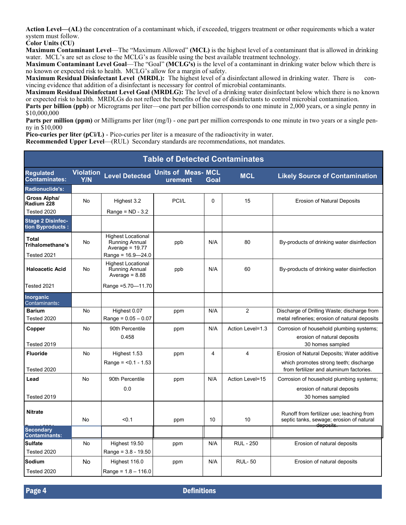**Action Level—(AL)** the concentration of a contaminant which, if exceeded, triggers treatment or other requirements which a water system must follow.

**Color Units (CU)**

**Maximum Contaminant Level**—The "Maximum Allowed" **(MCL)** is the highest level of a contaminant that is allowed in drinking water. MCL's are set as close to the MCLG's as feasible using the best available treatment technology.

**Maximum Contaminant Level Goal**—The "Goal" **(MCLG's)** is the level of a contaminant in drinking water below which there is no known or expected risk to health. MCLG's allow for a margin of safety.

**Maximum Residual Disinfectant Level (MRDL):** The highest level of a disinfectant allowed in drinking water. There is convincing evidence that addition of a disinfectant is necessary for control of microbial contaminants.

**Maximum Residual Disinfectant Level Goal (MRDLG):** The level of a drinking water disinfectant below which there is no known or expected risk to health. MRDLGs do not reflect the benefits of the use of disinfectants to control microbial contamination. **Parts per billion (ppb)** or Micrograms per liter—one part per billion corresponds to one minute in 2,000 years, or a single penny in \$10,000,000

**Parts per million (ppm)** or Milligrams per liter (mg/l) - one part per million corresponds to one minute in two years or a single penny in \$10,000

**Pico-curies per liter (pCi/L)** - Pico-curies per liter is a measure of the radioactivity in water.

**Recommended Upper Level**—(RUL) Secondary standards are recommendations, not mandates.

| <b>Table of Detected Contaminates</b>         |                                |                                                                        |                                     |      |                  |                                                                                                                                  |  |  |
|-----------------------------------------------|--------------------------------|------------------------------------------------------------------------|-------------------------------------|------|------------------|----------------------------------------------------------------------------------------------------------------------------------|--|--|
| <b>Regulated</b><br><b>Contaminates:</b>      | <b>Violation</b><br><b>Y/N</b> | <b>Level Detected</b>                                                  | <b>Units of Meas-MCL</b><br>urement | Goal | <b>MCL</b>       | <b>Likely Source of Contamination</b>                                                                                            |  |  |
| Radionuclide's:                               |                                |                                                                        |                                     |      |                  |                                                                                                                                  |  |  |
| Gross Alpha/<br>Radium 228                    | No                             | Highest 3.2                                                            | PCI/L                               | 0    | 15               | <b>Erosion of Natural Deposits</b>                                                                                               |  |  |
| Tested 2020                                   |                                | Range = $ND - 3.2$                                                     |                                     |      |                  |                                                                                                                                  |  |  |
| <b>Stage 2 Disinfec-</b><br>tion Byproducts : |                                |                                                                        |                                     |      |                  |                                                                                                                                  |  |  |
| Total<br>Trihalomethane's                     | No                             | <b>Highest Locational</b><br>Running Annual<br>Average = $19.77$       | ppb                                 | N/A  | 80               | By-products of drinking water disinfection                                                                                       |  |  |
| Tested 2021                                   |                                | Range = 16.9—24.0                                                      |                                     |      |                  |                                                                                                                                  |  |  |
| <b>Haloacetic Acid</b>                        | No                             | <b>Highest Locational</b><br><b>Running Annual</b><br>Average = $8.88$ | ppb                                 | N/A  | 60               | By-products of drinking water disinfection                                                                                       |  |  |
| Tested 2021                                   |                                | Range = 5.70-11.70                                                     |                                     |      |                  |                                                                                                                                  |  |  |
| <b>Inorganic</b><br>Contaminants:             |                                |                                                                        |                                     |      |                  |                                                                                                                                  |  |  |
| <b>Barium</b><br>Tested 2020                  | No                             | Highest 0.07<br>Range = $0.05 - 0.07$                                  | ppm                                 | N/A  | 2                | Discharge of Drilling Waste; discharge from<br>metal refineries; erosion of natural deposits                                     |  |  |
| Copper                                        | No                             | 90th Percentile<br>0.458                                               | ppm                                 | N/A  | Action Level=1.3 | Corrosion of household plumbing systems;<br>erosion of natural deposits                                                          |  |  |
| Tested 2019                                   |                                |                                                                        |                                     |      |                  | 30 homes sampled                                                                                                                 |  |  |
| <b>Fluoride</b><br>Tested 2020                | No                             | Highest 1.53<br>Range = <0.1 - 1.53                                    | ppm                                 | 4    | 4                | Erosion of Natural Deposits; Water additive<br>which promotes strong teeth; discharge<br>from fertilizer and aluminum factories. |  |  |
| Lead                                          | No                             | 90th Percentile<br>0.0                                                 | ppm                                 | N/A  | Action Level=15  | Corrosion of household plumbing systems;<br>erosion of natural deposits                                                          |  |  |
| Tested 2019                                   |                                |                                                                        |                                     |      |                  | 30 homes sampled                                                                                                                 |  |  |
| <b>Nitrate</b>                                | No                             | < 0.1                                                                  | ppm                                 | 10   | 10               | Runoff from fertilizer use; leaching from<br>septic tanks, sewage; erosion of natural<br>deposits.                               |  |  |
| <b>Secondary</b><br><b>Contaminants:</b>      |                                |                                                                        |                                     |      |                  |                                                                                                                                  |  |  |
| <b>Sulfate</b>                                | No                             | Highest 19.50                                                          | ppm                                 | N/A  | <b>RUL - 250</b> | Erosion of natural deposits                                                                                                      |  |  |
| Tested 2020                                   |                                | Range = $3.8 - 19.50$                                                  |                                     |      |                  |                                                                                                                                  |  |  |
| Sodium<br>Tested 2020                         | No                             | Highest 116.0<br>$Range = 1.8 - 116.0$                                 | ppm                                 | N/A  | <b>RUL-50</b>    | Erosion of natural deposits                                                                                                      |  |  |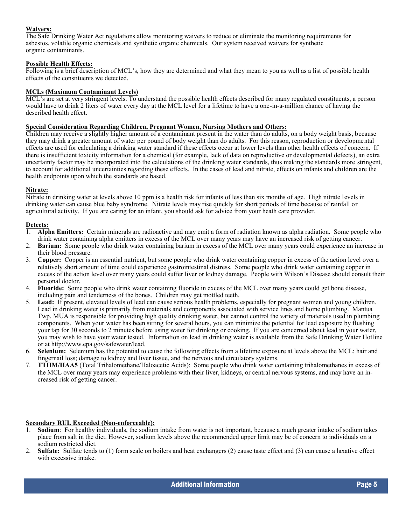#### **Waivers:**

The Safe Drinking Water Act regulations allow monitoring waivers to reduce or eliminate the monitoring requirements for asbestos, volatile organic chemicals and synthetic organic chemicals. Our system received waivers for synthetic organic contaminants.

#### **Possible Health Effects:**

Following is a brief description of MCL's, how they are determined and what they mean to you as well as a list of possible health effects of the constituents we detected.

#### **MCLs (Maximum Contaminant Levels)**

MCL's are set at very stringent levels. To understand the possible health effects described for many regulated constituents, a person would have to drink 2 liters of water every day at the MCL level for a lifetime to have a one-in-a-million chance of having the described health effect.

#### **Special Consideration Regarding Children, Pregnant Women, Nursing Mothers and Others:**

Children may receive a slightly higher amount of a contaminant present in the water than do adults, on a body weight basis, because they may drink a greater amount of water per pound of body weight than do adults. For this reason, reproduction or developmental effects are used for calculating a drinking water standard if these effects occur at lower levels than other health effects of concern. If there is insufficient toxicity information for a chemical (for example, lack of data on reproductive or developmental defects), an extra uncertainty factor may be incorporated into the calculations of the drinking water standards, thus making the standards more stringent, to account for additional uncertainties regarding these effects. In the cases of lead and nitrate, effects on infants and children are the health endpoints upon which the standards are based.

#### **Nitrate:**

Nitrate in drinking water at levels above 10 ppm is a health risk for infants of less than six months of age. High nitrate levels in drinking water can cause blue baby syndrome. Nitrate levels may rise quickly for short periods of time because of rainfall or agricultural activity. If you are caring for an infant, you should ask for advice from your heath care provider.

#### **Detects:**

- 1. **Alpha Emitters:** Certain minerals are radioactive and may emit a form of radiation known as alpha radiation. Some people who drink water containing alpha emitters in excess of the MCL over many years may have an increased risk of getting cancer.
- 2. **Barium:** Some people who drink water containing barium in excess of the MCL over many years could experience an increase in their blood pressure.
- 3. **Copper:** Copper is an essential nutrient, but some people who drink water containing copper in excess of the action level over a relatively short amount of time could experience gastrointestinal distress. Some people who drink water containing copper in excess of the action level over many years could suffer liver or kidney damage. People with Wilson's Disease should consult their personal doctor.
- 4. **Fluoride:** Some people who drink water containing fluoride in excess of the MCL over many years could get bone disease, including pain and tenderness of the bones. Children may get mottled teeth.
- 5. **Lead:** If present, elevated levels of lead can cause serious health problems, especially for pregnant women and young children. Lead in drinking water is primarily from materials and components associated with service lines and home plumbing. Mantua Twp. MUA is responsible for providing high quality drinking water, but cannot control the variety of materials used in plumbing components. When your water has been sitting for several hours, you can minimize the potential for lead exposure by flushing your tap for 30 seconds to 2 minutes before using water for drinking or cooking. If you are concerned about lead in your water, you may wish to have your water tested. Information on lead in drinking water is available from the Safe Drinking Water Hotline or at http://www.epa.gov/safewater/lead.
- 6. **Selenium:** Selenium has the potential to cause the following effects from a lifetime exposure at levels above the MCL: hair and fingernail loss; damage to kidney and liver tissue, and the nervous and circulatory systems.
- 7. **TTHM/HAA5** (Total Trihalomethane/Haloacetic Acids): Some people who drink water containing trihalomethanes in excess of the MCL over many years may experience problems with their liver, kidneys, or central nervous systems, and may have an increased risk of getting cancer.

#### **Secondary RUL Exceeded (Non-enforceable):**

- 1. **Sodium**: For healthy individuals, the sodium intake from water is not important, because a much greater intake of sodium takes place from salt in the diet. However, sodium levels above the recommended upper limit may be of concern to individuals on a sodium restricted diet.
- 2. **Sulfate:** Sulfate tends to (1) form scale on boilers and heat exchangers (2) cause taste effect and (3) can cause a laxative effect with excessive intake.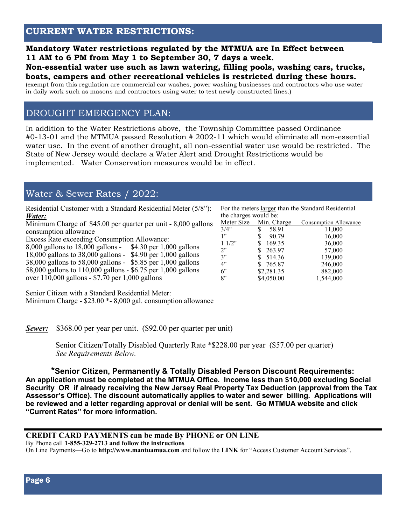### **Mandatory Water restrictions regulated by the MTMUA are In Effect between 11 AM to 6 PM from May 1 to September 30, 7 days a week.**

#### **Non-essential water use such as lawn watering, filling pools, washing cars, trucks, boats, campers and other recreational vehicles is restricted during these hours.**

(exempt from this regulation are commercial car washes, power washing businesses and contractors who use water in daily work such as masons and contractors using water to test newly constructed lines.)

### DROUGHT EMERGENCY PLAN:

In addition to the Water Restrictions above, the Township Committee passed Ordinance #0-13-01 and the MTMUA passed Resolution # 2002-11 which would eliminate all non-essential water use. In the event of another drought, all non-essential water use would be restricted. The State of New Jersey would declare a Water Alert and Drought Restrictions would be implemented. Water Conservation measures would be in effect.

### Water & Sewer Rates / 2022:

Residential Customer with a Standard Residential Meter (5/8"): *Water:* 

Minimum Charge of \$45.00 per quarter per unit - 8,000 gallons consumption allowance

Excess Rate exceeding Consumption Allowance:

8,000 gallons to 18,000 gallons - \$4.30 per 1,000 gallons 18,000 gallons to 38,000 gallons - \$4.90 per 1,000 gallons 38,000 gallons to 58,000 gallons - \$5.85 per 1,000 gallons 58,000 gallons to 110,000 gallons - \$6.75 per 1,000 gallons over 110,000 gallons - \$7.70 per 1,000 gallons

Senior Citizen with a Standard Residential Meter: Minimum Charge - \$23.00 \*- 8,000 gal. consumption allowance

*Sewer:* \$368.00 per year per unit. (\$92.00 per quarter per unit)

 Senior Citizen/Totally Disabled Quarterly Rate \*\$228.00 per year (\$57.00 per quarter) *See Requirements Below.*

**\*Senior Citizen, Permanently & Totally Disabled Person Discount Requirements: An application must be completed at the MTMUA Office. Income less than \$10,000 excluding Social Security OR if already receiving the New Jersey Real Property Tax Deduction (approval from the Tax Assessor's Office). The discount automatically applies to water and sewer billing. Applications will be reviewed and a letter regarding approval or denial will be sent. Go MTMUA website and click "Current Rates" for more information.**

### **CREDIT CARD PAYMENTS can be made By PHONE or ON LINE**

By Phone call **1-855-329-2713 and follow the instructions**

On Line Payments—Go to **http://www.mantuamua.com** and follow the **LINK** for "Access Customer Account Services".

For the meters larger than the Standard Residential the charges would be:

| $\frac{1}{2}$ changed would be. |                        |                       |
|---------------------------------|------------------------|-----------------------|
|                                 | Meter Size Min. Charge | Consumption Allowance |
| 3/4"                            | 58.91<br>S             | 11,000                |
| 1"                              | 90.79                  | 16,000                |
| 11/2"                           | 169.35                 | 36,000                |
| 2"                              | 263.97                 | 57,000                |
| 3"                              | 514.36                 | 139,000               |
| 4"                              | 765.87                 | 246,000               |
| 6"                              | \$2,281.35             | 882,000               |
| 8"                              | \$4,050.00             | 1,544,000             |
|                                 |                        |                       |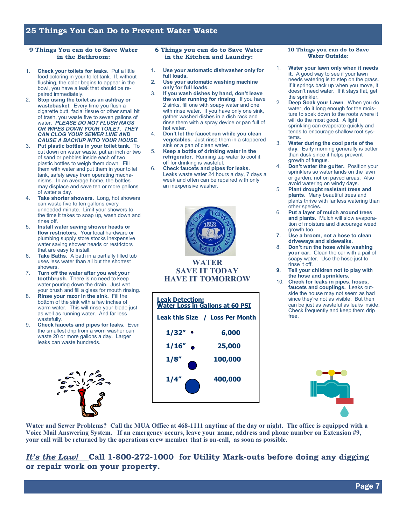#### **25 Things You Can Do to Prevent Water Waste**

#### **9 Things You can do to Save Water in the Bathroom:**

- 1. **Check your toilets for leaks**. Put a little food coloring in your toilet tank. If, without flushing, the color begins to appear in the bowl, you have a leak that should be repaired immediately.
- 2. **Stop using the toilet as an ashtray or wastebasket.** Every time you flush a cigarette butt, facial tissue or other small bit of trash, you waste five to seven gallons of water. *PLEASE DO NOT FLUSH RAGS OR WIPES DOWN YOUR TOILET. THEY CAN CLOG YOUR SEWER LINE AND CAUSE A BACKUP INTO YOUR HOUSE*.
- 3. **Put plastic bottles in your toilet tank.** To cut down on water waste, put an inch or two of sand or pebbles inside each of two plastic bottles to weigh them down. Fill them with water and put them in your toilet tank, safely away from operating mechanisms. In an average home, the bottles may displace and save ten or more gallons of water a day.
- 4. **Take shorter showers.** Long, hot showers can waste five to ten gallons every unneeded minute. Limit your showers to the time it takes to soap up, wash down and rinse off.
- 5. **Install water saving shower heads or flow restrictors.** Your local hardware or plumbing supply store stocks inexpensive water saving shower heads or restrictors that are easy to install.
- 6. **Take Baths.** A bath in a partially filled tub uses less water than all but the shortest showers.
- 7. **Turn off the water after you wet your toothbrush.** There is no need to keep water pouring down the drain. Just wet your brush and fill a glass for mouth rinsing.
- 8. **Rinse your razor in the sink.** Fill the bottom of the sink with a few inches of warm water. This will rinse your blade just as well as running water. And far less wastefully.
- 9. **Check faucets and pipes for leaks.** Even the smallest drip from a worn washer can waste 20 or more gallons a day. Larger leaks can waste hundreds.



#### **6 Things you can do to Save Water in the Kitchen and Laundry:**

- **1. Use your automatic dishwasher only for full loads.**
- **2. Use your automatic washing machine only for full loads.**
- 3. **If you wash dishes by hand, don't leave the water running for rinsing**. If you have 2 sinks, fill one with soapy water and one with rinse water. If you have only one sink, gather washed dishes in a dish rack and rinse them with a spray device or pan full of hot water.
- 4. **Don't let the faucet run while you clean vegetables.** Just rinse them in a stoppered sink or a pan of clean water.
- 5. **Keep a bottle of drinking water in the refrigerator.** Running tap water to cool it off for drinking is wasteful.
- 6. **Check faucets and pipes for leaks.**  Leaks waste water 24 hours a day, 7 days a week and often can be repaired with only an inexpensive washer.



### **SAVE IT TODAY HAVE IT TOMORROW**

| <b>Leak Detection:</b><br><b>Water Loss in Gallons at 60 PSI</b> |                                 |  |  |  |  |  |
|------------------------------------------------------------------|---------------------------------|--|--|--|--|--|
|                                                                  | Leak this Size / Loss Per Month |  |  |  |  |  |
| 1/32″                                                            | 6,000                           |  |  |  |  |  |
| 1/16"                                                            | 25,000                          |  |  |  |  |  |
| 1/8''                                                            | 100,000                         |  |  |  |  |  |
| 1/4″                                                             | 400,000                         |  |  |  |  |  |

#### **10 Things you can do to Save Water Outside:**

- 1. **Water your lawn only when it needs it.** A good way to see if your lawn needs watering is to step on the grass. If it springs back up when you move, it doesn't need water. If it stays flat, get the sprinkler.
- 2. **Deep Soak your Lawn**. When you do water, do it long enough for the moisture to soak down to the roots where it will do the most good. A light sprinkling can evaporate quickly and tends to encourage shallow root systems.
- 3. **Water during the cool parts of the day**. Early morning generally is better than dusk since it helps prevent growth of fungus.
- 4. **Don't water the gutter.** Position your sprinklers so water lands on the lawn or garden, not on paved areas. Also avoid watering on windy days.
- 5. **Plant drought resistant trees and plants**. Many beautiful trees and plants thrive with far less watering than other species.
- 6. **Put a layer of mulch around trees and plants.** Mulch will slow evaporation of moisture and discourage weed growth too.
- **7. Use a broom, not a hose to clean driveways and sidewalks.**
- 8. **Don't run the hose while washing your car.** Clean the car with a pail of soapy water. Use the hose just to rinse it off.
- **9. Tell your children not to play with the hose and sprinklers.**
- 10. **Check for leaks in pipes, hoses, faucets and couplings.** Leaks outside the house may not seem as bad since they're not as visible. But then can be just as wasteful as leaks inside. Check frequently and keep them drip free.



**Water and Sewer Problems? Call the MUA Office at 468-1111 anytime of the day or night. The office is equipped with a Voice Mail Answering System. If an emergency occurs, leave your name, address and phone number on Extension #9, your call will be returned by the operations crew member that is on-call, as soon as possible.**

### *It's the Law!* **Call 1-800-272-1000 for Utility Mark-outs before doing any digging or repair work on your property.**